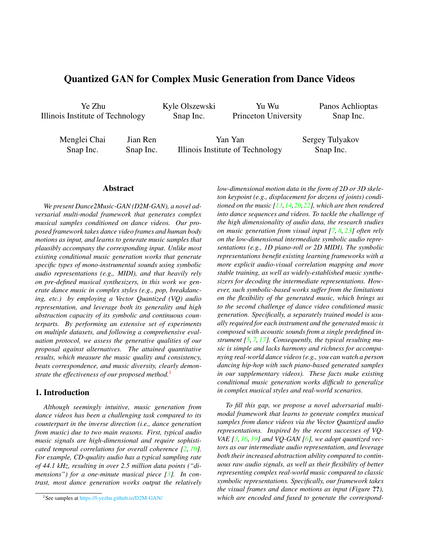# <span id="page-0-1"></span>Quantized GAN for Complex Music Generation from Dance Videos

Ye Zhu Illinois Institute of Technology Kyle Olszewski Snap Inc.

Yu Wu Princeton University Panos Achlioptas Snap Inc.

Menglei Chai Snap Inc.

Jian Ren Snap Inc.

Yan Yan Illinois Institute of Technology Sergey Tulyakov Snap Inc.

# Abstract

*We present Dance2Music-GAN (D2M-GAN), a novel adversarial multi-modal framework that generates complex musical samples conditioned on dance videos. Our proposed framework takes dance video frames and human body motions as input, and learns to generate music samples that plausibly accompany the corresponding input. Unlike most existing conditional music generation works that generate specific types of mono-instrumental sounds using symbolic audio representations (e.g., MIDI), and that heavily rely on pre-defined musical synthesizers, in this work we generate dance music in complex styles (e.g., pop, breakdancing, etc.) by employing a Vector Quantized (VQ) audio representation, and leverage both its generality and high abstraction capacity of its symbolic and continuous counterparts. By performing an extensive set of experiments on multiple datasets, and following a comprehensive evaluation protocol, we assess the generative qualities of our proposal against alternatives. The attained quantitative results, which measure the music quality and consistency, beats correspondence, and music diversity, clearly demonstrate the effectiveness of our proposed method.*<sup>[1](#page-0-0)</sup>

## 1. Introduction

*Although seemingly intuitive, music generation from dance videos has been a challenging task compared to its counterpart in the inverse direction (i.e., dance generation from music) due to two main reasons. First, typical audio music signals are high-dimensional and require sophisticated temporal correlations for overall coherence [\[2,](#page-3-0) [10\]](#page-3-1). For example, CD-quality audio has a typical sampling rate of 44.1 kHz, resulting in over 2.5 million data points ("dimensions") for a one-minute musical piece [\[3\]](#page-3-2). In contrast, most dance generation works output the relatively* *low-dimensional motion data in the form of 2D or 3D skeleton keypoint (e.g., displacement for dozens of joints) conditioned on the music [\[13,](#page-3-3)[14,](#page-3-4)[20,](#page-4-0)[22\]](#page-4-1), which are then rendered into dance sequences and videos. To tackle the challenge of the high dimensionality of audio data, the research studies on music generation from visual input [\[7,](#page-3-5) [8,](#page-3-6) [23\]](#page-4-2) often rely on the low-dimensional intermediate symbolic audio representations (e.g., 1D piano-roll or 2D MIDI). The symbolic representations benefit existing learning frameworks with a more explicit audio-visual correlation mapping and more stable training, as well as widely-established music synthesizers for decoding the intermediate representations. However, such symbolic-based works suffer from the limitations on the flexibility of the generated music, which brings us to the second challenge of dance video conditioned music generation. Specifically, a separately trained model is usually required for each instrument and the generated music is composed with acoustic sounds from a single predefined instrument [\[5,](#page-3-7) [7,](#page-3-5) [17\]](#page-3-8). Consequently, the typical resulting music is simple and lacks harmony and richness for accompanying real-world dance videos (e.g., you can watch a person dancing hip-hop with such piano-based generated samples in our supplementary videos). These facts make existing conditional music generation works difficult to generalize in complex musical styles and real-world scenarios.*

*To fill this gap, we propose a novel adversarial multimodal framework that learns to generate complex musical samples from dance videos via the Vector Quantized audio representations. Inspired by the recent successes of VQ-VAE [\[3,](#page-3-2) [16,](#page-3-9) [19\]](#page-4-3) and VQ-GAN [\[6\]](#page-3-10), we adopt quantized vectors as our intermediate audio representation, and leverage both their increased abstraction ability compared to continuous raw audio signals, as well as their flexibility of better representing complex real-world music compared to classic symbolic representations. Specifically, our framework takes the visual frames and dance motions as input (Figure* ??*), which are encoded and fused to generate the correspond-*

<span id="page-0-0"></span><sup>1</sup>See samples at https://l-yezhu.github.io/D2M-GAN/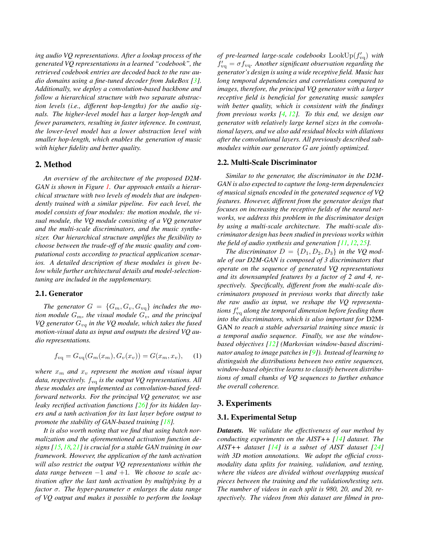<span id="page-1-0"></span>*ing audio VQ representations. After a lookup process of the generated VQ representations in a learned "codebook", the retrieved codebook entries are decoded back to the raw audio domains using a fine-tuned decoder from JukeBox [\[3\]](#page-3-2). Additionally, we deploy a convolution-based backbone and follow a hierarchical structure with two separate abstraction levels (i.e., different hop-lengths) for the audio signals. The higher-level model has a larger hop-length and fewer parameters, resulting in faster inference. In contrast, the lower-level model has a lower abstraction level with smaller hop-length, which enables the generation of music with higher fidelity and better quality.*

### 2. Method

*An overview of the architecture of the proposed D2M-GAN is shown in Figure [1.](#page-2-0) Our approach entails a hierarchical structure with two levels of models that are independently trained with a similar pipeline. For each level, the model consists of four modules: the motion module, the visual module, the VQ module consisting of a VQ generator and the multi-scale discriminators, and the music synthesizer. Our hierarchical structure amplifies the flexibility to choose between the trade-off of the music quality and computational costs according to practical application scenarios. A detailed description of these modules is given below while further architectural details and model-selectiontuning are included in the supplementary.*

# 2.1. Generator

The generator  $G = \{G_m, G_v, G_{vq}\}\$ includes the mo*tion module*  $G_m$ *, the visual module*  $G_v$ *, and the principal VQ generator*  $G_{vq}$  *in the VQ module, which takes the fused motion-visual data as input and outputs the desired VQ audio representations.*

$$
f_{\rm vq} = G_{\rm vq}(G_m(x_m), G_v(x_v)) = G(x_m, x_v), \quad (1)
$$

*where*  $x_m$  *and*  $x_v$  *represent the motion and visual input data, respectively.*  $f_{\text{va}}$  *is the output VQ representations. All these modules are implemented as convolution-based feedforward networks. For the principal VQ generator, we use leaky rectified activation functions [\[26\]](#page-4-4) for its hidden layers and a tanh activation for its last layer before output to promote the stability of GAN-based training [\[18\]](#page-3-11).*

*It is also worth noting that we find that using batch normalization and the aforementioned activation function designs [\[15,](#page-3-12)[18,](#page-3-11)[21\]](#page-4-5) is crucial for a stable GAN training in our framework. However, the application of the tanh activation will also restrict the output VQ representations within the data range between* −1 *and* +1*. We choose to scale activation after the last tanh activation by multiplying by a factor* σ*. The hyper-parameter* σ *enlarges the data range of VQ output and makes it possible to perform the lookup*

of pre-learned large-scale codebooks  $\text{LookUp}(f_{\text{vq}}')$  with  $f'_{\rm vq} = \sigma f_{\rm vq}$ . Another significant observation regarding the *generator's design is using a wide receptive field. Music has long temporal dependencies and correlations compared to images, therefore, the principal VQ generator with a larger receptive field is beneficial for generating music samples with better quality, which is consistent with the findings from previous works [\[4,](#page-3-13) [12\]](#page-3-14). To this end, we design our generator with relatively large kernel sizes in the convolutional layers, and we also add residual blocks with dilations after the convolutional layers. All previously described submodules within our generator* G *are jointly optimized.*

#### 2.2. Multi-Scale Discriminator

*Similar to the generator, the discriminator in the D2M-GAN is also expected to capture the long-term dependencies of musical signals encoded in the generated sequence of VQ features. However, different from the generator design that focuses on increasing the receptive fields of the neural networks, we address this problem in the discriminator design by using a multi-scale architecture. The multi-scale discriminator design has been studied in previous works within the field of audio synthesis and generation [\[11,](#page-3-15) [12,](#page-3-14) [25\]](#page-4-6).*

*The discriminator*  $D = \{D_1, D_2, D_3\}$  *in the VQ module of our D2M-GAN is composed of 3 discriminators that operate on the sequence of generated VQ representations and its downsampled features by a factor of 2 and 4, respectively. Specifically, different from the multi-scale discriminators proposed in previous works that directly take the raw audio as input, we reshape the VQ representa*tions  $f'_{\rm vq}$  along the temporal dimension before feeding them *into the discriminators, which is also important for* D2M-GAN *to reach a stable adversarial training since music is a temporal audio sequence. Finally, we use the windowbased objectives [\[12\]](#page-3-14) (Markovian window-based discriminator analog to image patches in [\[9\]](#page-3-16)). Instead of learning to distinguish the distributions between two entire sequences, window-based objective learns to classify between distributions of small chunks of VQ sequences to further enhance the overall coherence.*

# 3. Experiments

#### 3.1. Experimental Setup

*Datasets. We validate the effectiveness of our method by conducting experiments on the AIST++ [\[14\]](#page-3-4) dataset. The AIST++ dataset [\[14\]](#page-3-4) is a subset of AIST dataset [\[24\]](#page-4-7) with 3D motion annotations. We adopt the official crossmodality data splits for training, validation, and testing, where the videos are divided without overlapping musical pieces between the training and the validation/testing sets. The number of videos in each split is 980, 20, and 20, respectively. The videos from this dataset are filmed in pro-*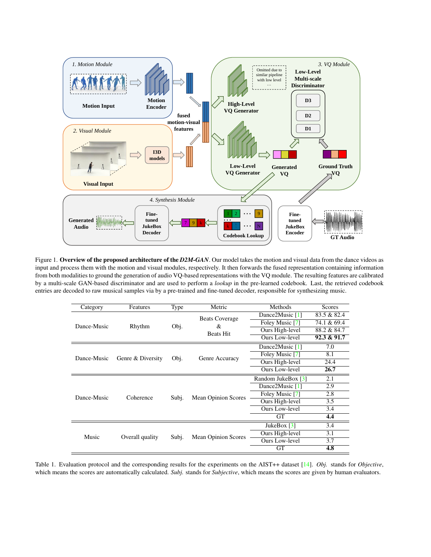<span id="page-2-2"></span><span id="page-2-0"></span>

Figure 1. Overview of the proposed architecture of the *D2M-GAN*. Our model takes the motion and visual data from the dance videos as input and process them with the motion and visual modules, respectively. It then forwards the fused representation containing information from both modalities to ground the generation of audio VQ-based representations with the VQ module. The resulting features are calibrated by a multi-scale GAN-based discriminator and are used to perform a *lookup* in the pre-learned codebook. Last, the retrieved codebook entries are decoded to raw musical samples via by a pre-trained and fine-tuned decoder, responsible for synthesizing music.

<span id="page-2-1"></span>

| Category    | Features          | Type  | Metric                                         | Methods            | Scores      |
|-------------|-------------------|-------|------------------------------------------------|--------------------|-------------|
| Dance-Music | Rhythm            | Obj.  | <b>Beats Coverage</b><br>&<br><b>Beats Hit</b> | Dance2Music [1]    | 83.5 & 82.4 |
|             |                   |       |                                                | Foley Music [7]    | 74.1 & 69.4 |
|             |                   |       |                                                | Ours High-level    | 88.2 & 84.7 |
|             |                   |       |                                                | Ours Low-level     | 92.3 & 91.7 |
| Dance-Music | Genre & Diversity | Obj.  | Genre Accuracy                                 | Dance2Music [1]    | 7.0         |
|             |                   |       |                                                | Foley Music [7]    | 8.1         |
|             |                   |       |                                                | Ours High-level    | 24.4        |
|             |                   |       |                                                | Ours Low-level     | 26.7        |
| Dance-Music | Coherence         | Subj. | <b>Mean Opinion Scores</b>                     | Random JukeBox [3] | 2.1         |
|             |                   |       |                                                | Dance2Music [1]    | 2.9         |
|             |                   |       |                                                | Foley Music [7]    | 2.8         |
|             |                   |       |                                                | Ours High-level    | 3.5         |
|             |                   |       |                                                | Ours Low-level     | 3.4         |
|             |                   |       |                                                | <b>GT</b>          | 4.4         |
| Music       | Overall quality   | Subi. | <b>Mean Opinion Scores</b>                     | JukeBox $[3]$      | 3.4         |
|             |                   |       |                                                | Ours High-level    | 3.1         |
|             |                   |       |                                                | Ours Low-level     | 3.7         |
|             |                   |       |                                                | <b>GT</b>          | 4.8         |

Table 1. Evaluation protocol and the corresponding results for the experiments on the AIST++ dataset [\[14\]](#page-3-4). *Obj.* stands for *Objective*, which means the scores are automatically calculated. *Subj.* stands for *Subjective*, which means the scores are given by human evaluators.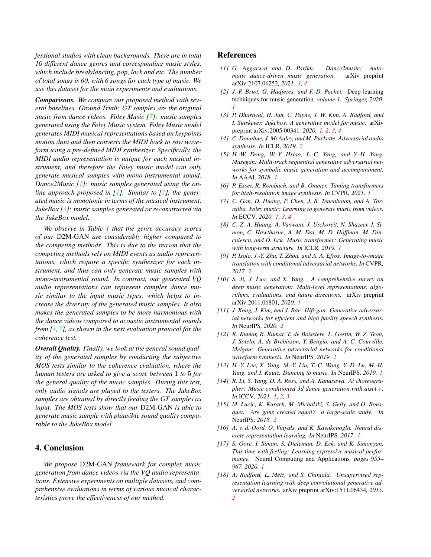<span id="page-3-18"></span>*fessional studios with clean backgrounds. There are in total 10 different dance genres and corresponding music styles, which include breakdancing, pop, lock and etc. The number of total songs is 60, with 6 songs for each type of music. We use this dataset for the main experiments and evaluations.*

*Comparisons. We compare our proposed method with several baselines. Ground Truth: GT samples are the original music from dance videos. Foley Music [\[7\]](#page-3-5): music samples generated using the Foley Music system. Foley Music model generates MIDI musical representations based on keypoints motion data and then converts the MIDI back to raw waveform using a pre-defined MIDI synthesizer. Specifically, the MIDI audio representation is unique for each musical instrument, and therefore the Foley music model can only generate musical samples with mono-instrumental sound. Dance2Music [\[1\]](#page-3-17): music samples generated using the online approach proposed in [\[1\]](#page-3-17). Similar to [\[7\]](#page-3-5), the generated music is monotonic in terms of the musical instrument. JukeBox [\[3\]](#page-3-2): music samples generated or reconstructed via the JukeBox model.*

*We observe in Table [1](#page-2-1) that the genre accuracy scores of our* D2M-GAN *are considerably higher compared to the competing methods. This is due to the reason that the competing methods rely on MIDI events as audio representations, which require a specific synthesizer for each instrument, and thus can only generate music samples with mono-instrumental sound. In contrast, our generated VQ audio representations can represent complex dance music similar to the input music types, which helps to increase the diversity of the generated music samples. It also makes the generated samples to be more harmonious with the dance videos compared to acoustic instrumental sounds from [\[1,](#page-3-17)[7\]](#page-3-5), as shown in the next evaluation protocol for the coherence test.*

*Overall Quality. Finally, we look at the general sound quality of the generated samples by conducting the subjective MOS tests similar to the coherence evaluation, where the human testers are asked to give a score between* 1 *to* 5 *for the general quality of the music samples. During this test, only audio signals are played to the testers. The JukeBox samples are obtained by directly feeding the GT samples as input. The MOS tests show that our* D2M-GAN *is able to generate music sample with plausible sound quality comparable to the JukeBox model.*

# 4. Conclusion

*We propose* D2M-GAN *framework for complex music generation from dance videos via the VQ audio representations. Extensive experiments on multiple datasets, and comprehensive evaluations in terms of various musical characteristics prove the effectiveness of our method.*

## References

- <span id="page-3-17"></span>*[1] G. Aggarwal and D. Parikh. Dance2music: Automatic dance-driven music generation.* arXiv preprint arXiv:2107.06252*, 2021. [3,](#page-2-2) [4](#page-3-18)*
- <span id="page-3-0"></span>*[2] J.-P. Briot, G. Hadjeres, and F.-D. Pachet.* Deep learning techniques for music generation*, volume 1. Springer, 2020. [1](#page-0-1)*
- <span id="page-3-2"></span>*[3] P. Dhariwal, H. Jun, C. Payne, J. W. Kim, A. Radford, and I. Sutskever. Jukebox: A generative model for music.* arXiv preprint arXiv:2005.00341*, 2020. [1,](#page-0-1) [2,](#page-1-0) [3,](#page-2-2) [4](#page-3-18)*
- <span id="page-3-13"></span>*[4] C. Donahue, J. McAuley, and M. Puckette. Adversarial audio synthesis. In* ICLR*, 2019. [2](#page-1-0)*
- <span id="page-3-7"></span>*[5] H.-W. Dong, W.-Y. Hsiao, L.-C. Yang, and Y.-H. Yang. Musegan: Multi-track sequential generative adversarial networks for symbolic music generation and accompaniment. In* AAAI*, 2018. [1](#page-0-1)*
- <span id="page-3-10"></span>*[6] P. Esser, R. Rombach, and B. Ommer. Taming transformers for high-resolution image synthesis. In* CVPR*, 2021. [1](#page-0-1)*
- <span id="page-3-5"></span>*[7] C. Gan, D. Huang, P. Chen, J. B. Tenenbaum, and A. Torralba. Foley music: Learning to generate music from videos. In* ECCV*, 2020. [1,](#page-0-1) [3,](#page-2-2) [4](#page-3-18)*
- <span id="page-3-6"></span>*[8] C.-Z. A. Huang, A. Vaswani, J. Uszkoreit, N. Shazeer, I. Simon, C. Hawthorne, A. M. Dai, M. D. Hoffman, M. Dinculescu, and D. Eck. Music transformer: Generating music with long-term structure. In* ICLR*, 2019. [1](#page-0-1)*
- <span id="page-3-16"></span>*[9] P. Isola, J.-Y. Zhu, T. Zhou, and A. A. Efros. Image-to-image translation with conditional adversarial networks. In* CVPR*, 2017. [2](#page-1-0)*
- <span id="page-3-1"></span>*[10] S. Ji, J. Luo, and X. Yang. A comprehensive survey on deep music generation: Multi-level representations, algorithms, evaluations, and future directions.* arXiv preprint arXiv:2011.06801*, 2020. [1](#page-0-1)*
- <span id="page-3-15"></span>*[11] J. Kong, J. Kim, and J. Bae. Hifi-gan: Generative adversarial networks for efficient and high fidelity speech synthesis. In* NeurIPS*, 2020. [2](#page-1-0)*
- <span id="page-3-14"></span>*[12] K. Kumar, R. Kumar, T. de Boissiere, L. Gestin, W. Z. Teoh, J. Sotelo, A. de Brebisson, Y. Bengio, and A. C. Courville. ´ Melgan: Generative adversarial networks for conditional waveform synthesis. In* NeurIPS*, 2019. [2](#page-1-0)*
- <span id="page-3-3"></span>*[13] H.-Y. Lee, X. Yang, M.-Y. Liu, T.-C. Wang, Y.-D. Lu, M.-H. Yang, and J. Kautz. Dancing to music. In* NeurIPS*, 2019. [1](#page-0-1)*
- <span id="page-3-4"></span>*[14] R. Li, S. Yang, D. A. Ross, and A. Kanazawa. Ai choreographer: Music conditioned 3d dance generation with aist++. In* ICCV*, 2021. [1,](#page-0-1) [2,](#page-1-0) [3](#page-2-2)*
- <span id="page-3-12"></span>*[15] M. Lucic, K. Kurach, M. Michalski, S. Gelly, and O. Bousquet. Are gans created equal? a large-scale study. In* NeurIPS*, 2018. [2](#page-1-0)*
- <span id="page-3-9"></span>*[16] A. v. d. Oord, O. Vinyals, and K. Kavukcuoglu. Neural discrete representation learning. In* NeurIPS*, 2017. [1](#page-0-1)*
- <span id="page-3-8"></span>*[17] S. Oore, I. Simon, S. Dieleman, D. Eck, and K. Simonyan. This time with feeling: Learning expressive musical performance.* Neural Computing and Applications*, pages 955– 967, 2020. [1](#page-0-1)*
- <span id="page-3-11"></span>*[18] A. Radford, L. Metz, and S. Chintala. Unsupervised representation learning with deep convolutional generative adversarial networks.* arXiv preprint arXiv:1511.06434*, 2015. [2](#page-1-0)*